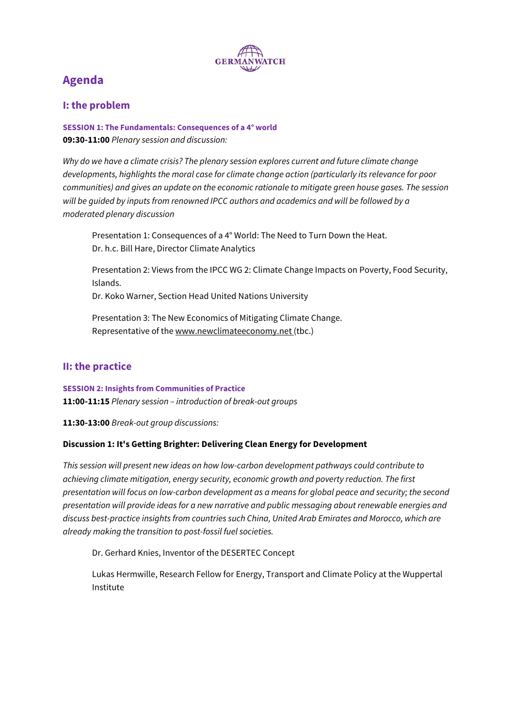

# **Agenda**

## **I: the problem**

**SESSION 1: The Fundamentals: Consequences of a 4° world 09:30-11:00** Plenary session and discussion:

Why do we have a climate crisis? The plenary session explores current and future climate change developments, highlights the moral case for climate change action (particularly its relevance for poor communities) and gives an update on the economic rationale to mitigate green house gases. The session will be guided by inputs from renowned IPCC authors and academics and will be followed by a moderated plenary discussion

Presentation 1: Consequences of a 4° World: The Need to Turn Down the Heat. Dr. h.c. Bill Hare, Director Climate Analytics

Presentation 2: Views from the IPCC WG 2: Climate Change Impacts on Poverty, Food Security, Islands.

Dr. Koko Warner, Section Head United Nations University

Presentation 3: The New Economics of Mitigating Climate Change. Representative of the www.newclimateeconomy.net (tbc.)

## **II: the practice**

**SESSION 2: Insights from Communities of Practice 11:00-11:15** Plenary session – introduction of break-out groups

**11:30-13:00** Break-out group discussions:

## **Discussion 1: It's Getting Brighter: Delivering Clean Energy for Development**

This session will present new ideas on how low-carbon development pathways could contribute to achieving climate mitigation, energy security, economic growth and poverty reduction. The first presentation will focus on low-carbon development as a means for global peace and security; the second presentation will provide ideas for a new narrative and public messaging about renewable energies and discuss best-practice insights from countries such China, United Arab Emirates and Morocco, which are already making the transition to post-fossil fuel societies.

Dr. Gerhard Knies, Inventor of the DESERTEC Concept

Lukas Hermwille, Research Fellow for Energy, Transport and Climate Policy at the Wuppertal Institute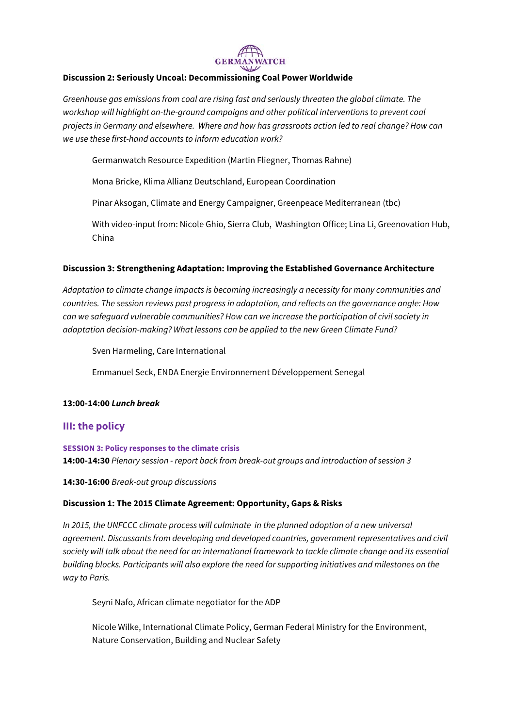

#### **Discussion 2: Seriously Uncoal: Decommissioning Coal Power Worldwide**

Greenhouse gas emissions from coal are rising fast and seriously threaten the global climate. The workshop will highlight on-the-ground campaigns and other political interventions to prevent coal projects in Germany and elsewhere. Where and how has grassroots action led to real change? How can we use these first-hand accounts to inform education work?

Germanwatch Resource Expedition (Martin Fliegner, Thomas Rahne)

Mona Bricke, Klima Allianz Deutschland, European Coordination

Pinar Aksogan, Climate and Energy Campaigner, Greenpeace Mediterranean (tbc)

With video-input from: Nicole Ghio, Sierra Club, Washington Office; Lina Li, Greenovation Hub, China

#### **Discussion 3: Strengthening Adaptation: Improving the Established Governance Architecture**

Adaptation to climate change impacts is becoming increasingly a necessity for many communities and countries. The session reviews past progress in adaptation, and reflects on the governance angle: How can we safeguard vulnerable communities? How can we increase the participation of civil society in adaptation decision-making? What lessons can be applied to the new Green Climate Fund?

Sven Harmeling, Care International

Emmanuel Seck, ENDA Energie Environnement Développement Senegal

#### **13:00-14:00 Lunch break**

## **III: the policy**

**SESSION 3: Policy responses to the climate crisis 14:00-14:30** Plenary session - report back from break-out groups and introduction of session 3

**14:30-16:00** Break-out group discussions

#### **Discussion 1: The 2015 Climate Agreement: Opportunity, Gaps & Risks**

In 2015, the UNFCCC climate process will culminate in the planned adoption of a new universal agreement. Discussants from developing and developed countries, government representatives and civil society will talk about the need for an international framework to tackle climate change and its essential building blocks. Participants will also explore the need for supporting initiatives and milestones on the way to Paris.

Seyni Nafo, African climate negotiator for the ADP

Nicole Wilke, International Climate Policy, German Federal Ministry for the Environment, Nature Conservation, Building and Nuclear Safety